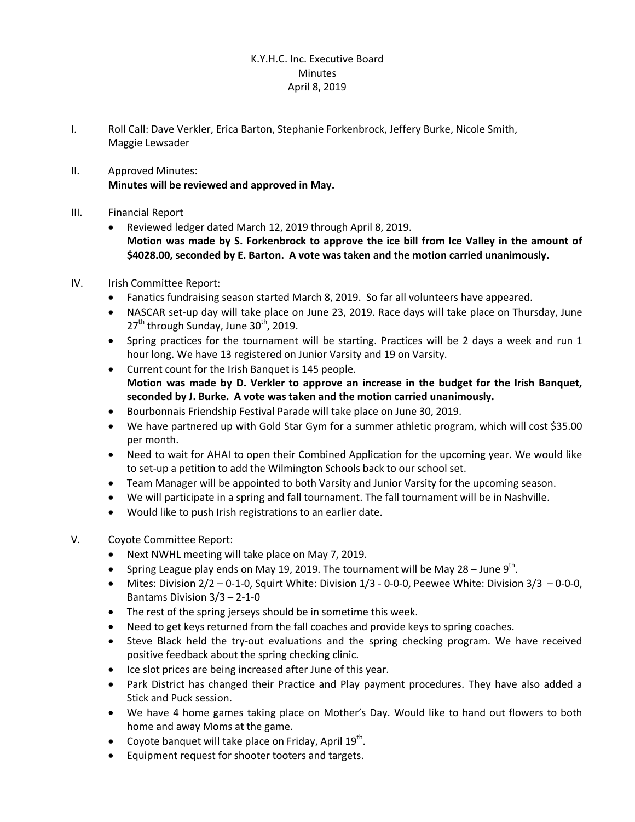## K.Y.H.C. Inc. Executive Board **Minutes** April 8, 2019

- I. Roll Call: Dave Verkler, Erica Barton, Stephanie Forkenbrock, Jeffery Burke, Nicole Smith, Maggie Lewsader
- II. Approved Minutes: **Minutes will be reviewed and approved in May.**
- III. Financial Report
	- Reviewed ledger dated March 12, 2019 through April 8, 2019. **Motion was made by S. Forkenbrock to approve the ice bill from Ice Valley in the amount of \$4028.00, seconded by E. Barton. A vote was taken and the motion carried unanimously.**
- IV. Irish Committee Report:
	- · Fanatics fundraising season started March 8, 2019. So far all volunteers have appeared.
	- · NASCAR set-up day will take place on June 23, 2019. Race days will take place on Thursday, June  $27<sup>th</sup>$  through Sunday, June 30<sup>th</sup>, 2019.
	- · Spring practices for the tournament will be starting. Practices will be 2 days a week and run 1 hour long. We have 13 registered on Junior Varsity and 19 on Varsity.
	- · Current count for the Irish Banquet is 145 people. **Motion was made by D. Verkler to approve an increase in the budget for the Irish Banquet, seconded by J. Burke. A vote was taken and the motion carried unanimously.**
	- · Bourbonnais Friendship Festival Parade will take place on June 30, 2019.
	- · We have partnered up with Gold Star Gym for a summer athletic program, which will cost \$35.00 per month.
	- · Need to wait for AHAI to open their Combined Application for the upcoming year. We would like to set-up a petition to add the Wilmington Schools back to our school set.
	- · Team Manager will be appointed to both Varsity and Junior Varsity for the upcoming season.
	- · We will participate in a spring and fall tournament. The fall tournament will be in Nashville.
	- · Would like to push Irish registrations to an earlier date.
- V. Coyote Committee Report:
	- · Next NWHL meeting will take place on May 7, 2019.
	- Spring League play ends on May 19, 2019. The tournament will be May 28 June  $9<sup>th</sup>$ .
	- Mites: Division  $2/2$  0-1-0, Squirt White: Division  $1/3$  0-0-0, Peewee White: Division  $3/3$  0-0-0, Bantams Division 3/3 – 2-1-0
	- The rest of the spring jerseys should be in sometime this week.
	- Need to get keys returned from the fall coaches and provide keys to spring coaches.
	- · Steve Black held the try-out evaluations and the spring checking program. We have received positive feedback about the spring checking clinic.
	- · Ice slot prices are being increased after June of this year.
	- · Park District has changed their Practice and Play payment procedures. They have also added a Stick and Puck session.
	- · We have 4 home games taking place on Mother's Day. Would like to hand out flowers to both home and away Moms at the game.
	- Coyote banquet will take place on Friday, April  $19^{th}$ .
	- Equipment request for shooter tooters and targets.